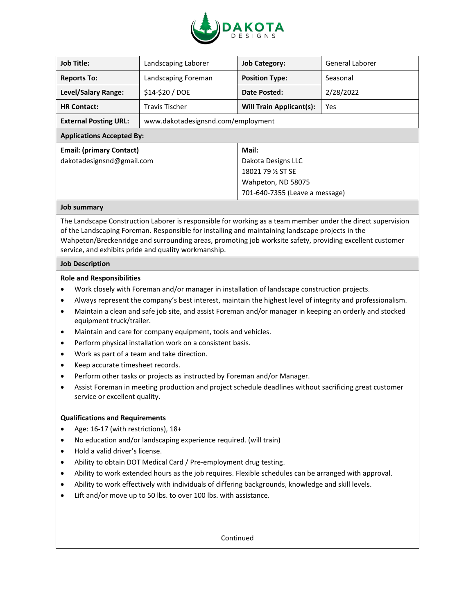

| <b>Job Title:</b>                | Landscaping Laborer                | <b>Job Category:</b>            | General Laborer |
|----------------------------------|------------------------------------|---------------------------------|-----------------|
| <b>Reports To:</b>               | Landscaping Foreman                | <b>Position Type:</b>           | Seasonal        |
| Level/Salary Range:              | \$14-\$20 / DOE                    | Date Posted:                    | 2/28/2022       |
| <b>HR Contact:</b>               | Travis Tischer                     | <b>Will Train Applicant(s):</b> | Yes             |
| <b>External Posting URL:</b>     | www.dakotadesignsnd.com/employment |                                 |                 |
| <b>Applications Accepted By:</b> |                                    |                                 |                 |
| <b>Email: (primary Contact)</b>  |                                    | Mail:                           |                 |
| dakotadesignsnd@gmail.com        |                                    | Dakota Designs LLC              |                 |
|                                  |                                    | 18021 79 % ST SE                |                 |
|                                  |                                    | Wahpeton, ND 58075              |                 |
|                                  |                                    | 701-640-7355 (Leave a message)  |                 |
|                                  |                                    |                                 |                 |

# **Job summary**

The Landscape Construction Laborer is responsible for working as a team member under the direct supervision of the Landscaping Foreman. Responsible for installing and maintaining landscape projects in the Wahpeton/Breckenridge and surrounding areas, promoting job worksite safety, providing excellent customer service, and exhibits pride and quality workmanship.

# **Job Description**

# **Role and Responsibilities**

- Work closely with Foreman and/or manager in installation of landscape construction projects.
- Always represent the company's best interest, maintain the highest level of integrity and professionalism.
- Maintain a clean and safe job site, and assist Foreman and/or manager in keeping an orderly and stocked equipment truck/trailer.
- Maintain and care for company equipment, tools and vehicles.
- Perform physical installation work on a consistent basis.
- Work as part of a team and take direction.
- Keep accurate timesheet records.
- Perform other tasks or projects as instructed by Foreman and/or Manager.
- Assist Foreman in meeting production and project schedule deadlines without sacrificing great customer service or excellent quality.

# **Qualifications and Requirements**

- Age: 16-17 (with restrictions), 18+
- No education and/or landscaping experience required. (will train)
- Hold a valid driver's license.
- Ability to obtain DOT Medical Card / Pre-employment drug testing.
- Ability to work extended hours as the job requires. Flexible schedules can be arranged with approval.
- Ability to work effectively with individuals of differing backgrounds, knowledge and skill levels.
- Lift and/or move up to 50 lbs. to over 100 lbs. with assistance.

Continued